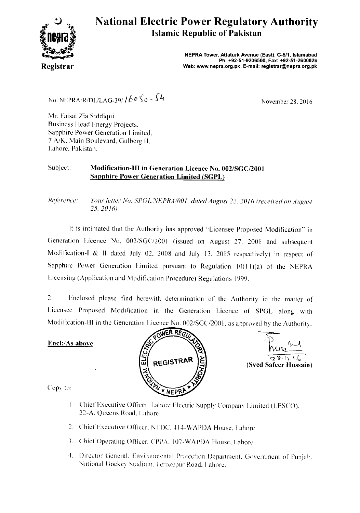

## **National Electric Power Regulatory Authority Islamic Republic of Pakistan**

NEPRA Tower, Attaturk Avenue (East), G-511, Islamabad Ph: +92-51-9206500, Fax: +92-51-2600026 **Registrar** Web: www.nepra.org.pk, E-mail: registrar@nepra.org.pk

No. NEPRA/R/DL/LAG-39/ */ b<sup>o</sup> S*<sup>o</sup> - S<sup>4</sup> → November 28, 2016

Mr. Faisal Zia Siddiqui, Business Ilead Energy Projects, Sapphire Power Generation Limited, 7 A/K, Main Boulevard, Gulberg II, Lahore, Pakistan.

#### Subject: Modification-III in Generation Licence No. 002/SGC/2001 Sapphire Power Generation Limited (SGPL)

*Reference: Your letter No. SPGLNEPRA/001, dated August 22, 2016 (received on August 25, 2016)* 

It is intimated that the Authority has approved "Licensee Proposed Modification" in Generation Licence No. 002/SGC/2001 (issued on August 27, 2001 and subsequent Modification-1 & II dated July 02, 2008 and July 13, 2015 respectively) in respect of Sapphire Power Generation Limited pursuant to Regulation  $10(11)(a)$  of the NEPRA Licensing (Application and Modification Procedure) Regulations 1999.

3. Enclosed please find herewith determination of the Authority in the matter of Licensee Proposed Modification in the Generation Licence of SPGL along with Modification-III in the Generation Licence No. 002/SGC/2001, as approved by the Authority.

#### Encl:/As above





Copy to:

- **1 .** Chief Executive Officer. Lahore Electric Supply Company Limited (LES('O). 22-A, Queens Road. Lahore.
- 2. Chief Executive Officer, NTDC, 414-WAPDA House, Lahore
- 3. Chief Operating Officer. CPPA. 107-WAPDA House, Lahore
- i. Director General, Environmental Protection Department, Government of Punjab. National Hockey Stadium. F erozepur Road, Lahore.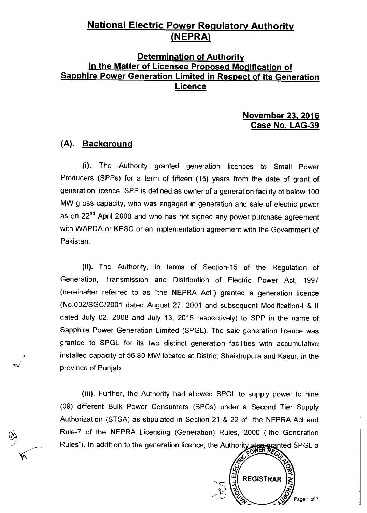# **National Electric Power Regulatory Authority**  (**NEPRA**)

## **Determination of Authority in the Matter of Licensee Proposed Modification of Sapphire Power Generation Limited in Respect of its Generation Licence**

#### **November 23, 2016 Case No. LAG-39**

#### **(A). Background**

(i). The Authority granted generation licences to Small Power Producers (SPPs) for a term of fifteen (15) years from the date of grant of generation licence. SPP is defined as owner of a generation facility of below 100 MW gross capacity, who was engaged in generation and sale of electric power as on 22<sup>nd</sup> April 2000 and who has not signed any power purchase agreement with WAPDA or KESC or an implementation agreement with the Government of Pakistan.

(ii). The Authority, in terms of Section-15 of the Regulation of Generation, Transmission and Distribution of Electric Power Act, 1997 (hereinafter referred to as "the NEPRA Act") granted a generation licence (No.002/SGC/2001 dated August 27, 2001 and subsequent Modification-I & II dated July 02, 2008 and July 13, 2015 respectively) to SPP in the name of Sapphire Power Generation Limited (SPGL). The said generation licence was granted to SPGL for its two distinct generation facilities with accumulative installed capacity of 56.80 MW located at District Sheikhupura and Kasur, in the province of Punjab.

(iii). Further, the Authority had allowed SPGL to supply power to nine (09) different Bulk Power Consumers (BPCs) under a Second Tier Supply Authorization (STSA) as stipulated in Section 21 & 22 of the NEPRA Act and Rule-7 of the NEPRA Licensing (Generation) Rules, 2000 ("the Generation Rules"). In addition to the generation licence, the Authority also granted SPGL a

ũ,

**REGISTRAR** 

Page 1 of 7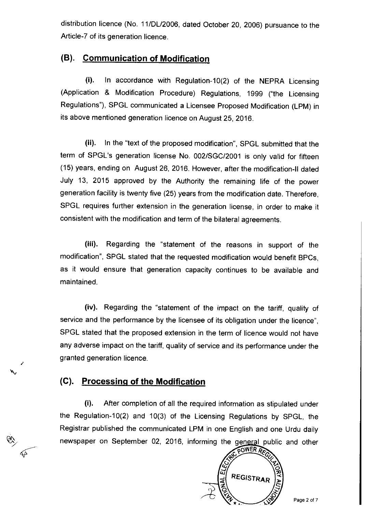distribution licence (No. 11/DL/2006, dated October 20, 2006) pursuance to the Article-7 of its generation licence.

### **(B). Communication of Modification**

(i). In accordance with Regulation-10(2) of the NEPRA Licensing (Application & Modification Procedure) Regulations, 1999 ("the Licensing Regulations"), SPGL communicated a Licensee Proposed Modification (LPM) in its above mentioned generation licence on August 25, 2016.

(ii). In the "text of the proposed modification", SPGL submitted that the term of SPGL's generation license No. 002/SGC/2001 is only valid for fifteen (15) years, ending on August 26, 2016. However, after the modification-II dated July 13, 2015 approved by the Authority the remaining life of the power generation facility is twenty five (25) years from the modification date. Therefore, SPGL requires further extension in the generation license, in order to make it consistent with the modification and term of the bilateral agreements.

(iii). Regarding the "statement of the reasons in support of the modification", SPGL stated that the requested modification would benefit BPCs, as it would ensure that generation capacity continues to be available and maintained.

(iv). Regarding the "statement of the impact on the tariff, quality of service and the performance by the licensee of its obligation under the licence", SPGL stated that the proposed extension in the term of licence would not have any adverse impact on the tariff, quality of service and its performance under the granted generation licence.

## **(C). Processing of the Modification**

ti

ᡬ

(i). After completion of all the required information as stipulated under the Regulation-10(2) and 10(3) of the Licensing Regulations by SPGL, the Registrar published the communicated LPM in one English and one Urdu daily newspaper on September 02, 2016, informing the general public and other rewspaper on September 02, 2016, informing the general public and other

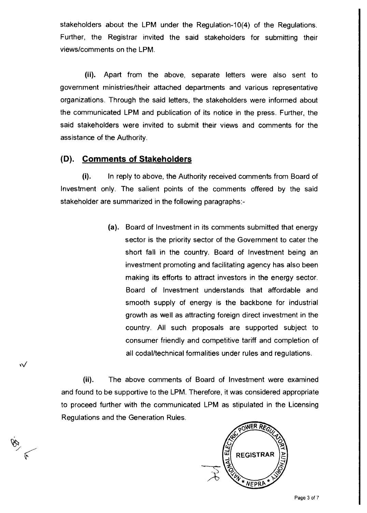stakeholders about the LPM under the Regulation-10(4) of the Regulations. Further, the Registrar invited the said stakeholders for submitting their views/comments on the LPM.

(ii). Apart from the above, separate letters were also sent to government ministries/their attached departments and various representative organizations. Through the said letters, the stakeholders were informed about the communicated LPM and publication of its notice in the press. Further, the said stakeholders were invited to submit their views and comments for the assistance of the Authority.

#### **(D). Comments of Stakeholders**

₩

(i). In reply to above, the Authority received comments from Board of Investment only. The salient points of the comments offered by the said stakeholder are summarized in the following paragraphs:-

> **(a).** Board of Investment in its comments submitted that energy sector is the priority sector of the Government to cater the short fall in the country. Board of Investment being an investment promoting and facilitating agency has also been making its efforts to attract investors in the energy sector. Board of Investment understands that affordable and smooth supply of energy is the backbone for industrial growth as well as attracting foreign direct investment in the country. All such proposals are supported subject to consumer friendly and competitive tariff and completion of all codal/technical formalities under rules and regulations.

(ii). The above comments of Board of Investment were examined and found to be supportive to the LPM. Therefore, it was considered appropriate to proceed further with the communicated LPM as stipulated in the Licensing Regulations and the Generation Rules.

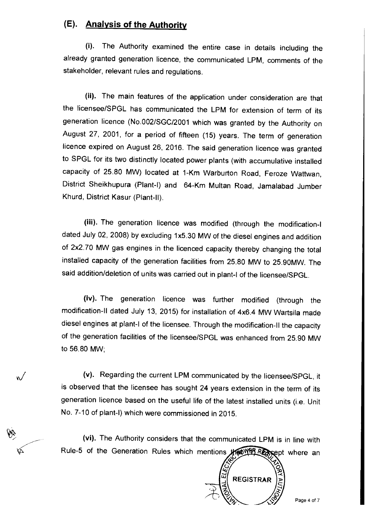## **(E). Analysis of the Authority**

(i). The Authority examined the entire case in details including the already granted generation licence, the communicated LPM, comments of the stakeholder, relevant rules and regulations.

(ii). The main features of the application under consideration are that the licensee/SPGL has communicated the LPM for extension of term of its generation licence (No.002/SGC/2001 which was granted by the Authority on August 27, 2001, for a period of fifteen (15) years. The term of generation licence expired on August 26, 2016. The said generation licence was granted to SPGL for its two distinctly located power plants (with accumulative installed capacity of 25.80 MW) located at 1-Km Warburton Road, Feroze Wattwan, District Sheikhupura (Plant-I) and 64-Km Multan Road, Jamalabad Jumber Khurd, District Kasur (Plant-II).

(iii). The generation licence was modified (through the modification-I dated July 02, 2008) by excluding 1x5.30 MW of the diesel engines and addition of 2x2.70 MW gas engines in the licenced capacity thereby changing the total installed capacity of the generation facilities from 25.80 MW to 25.90MW. The said addition/deletion of units was carried out in plant-I of the licensee/SPGL.

(iv). The generation licence was further modified (through the modification-II dated July 13, 2015) for installation of 4x6.4 MW Wartsila made diesel engines at plant-I of the licensee. Through the modification-II the capacity of the generation facilities of the licensee/SPGL was enhanced from 25.90 MW to 56.80 MW;

(v). Regarding the current LPM communicated by the licensee/SPGL, it is observed that the licensee has sought 24 years extension in the term of its generation licence based on the useful life of the latest installed units (i.e. Unit No. 7-10 of plant-I) which were commissioned in 2015.

 $\sqrt{}$ 

(vi). The Authority considers that the communicated LPM is in line with Rule-5 of the Generation Rules which mentions **showled Respectively** where an **Rule-5** of the Generation Rules which **M** is in line with<br> **A.**<br> **A.**<br> **P.**<br> **Page 4 of 7**<br>
Page 4 of 7

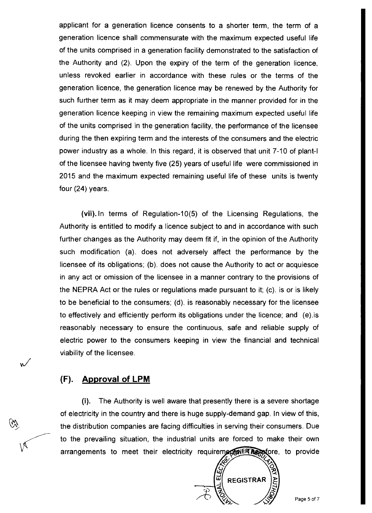applicant for a generation licence consents to a shorter term, the term of a generation licence shall commensurate with the maximum expected useful life of the units comprised in a generation facility demonstrated to the satisfaction of the Authority and (2). Upon the expiry of the term of the generation licence, unless revoked earlier in accordance with these rules or the terms of the generation licence, the generation licence may be renewed by the Authority for such further term as it may deem appropriate in the manner provided for in the generation licence keeping in view the remaining maximum expected useful life of the units comprised in the generation facility, the performance of the licensee during the then expiring term and the interests of the consumers and the electric power industry as a whole. In this regard, it is observed that unit 7-10 of plant-I of the licensee having twenty five (25) years of useful life were commissioned in 2015 and the maximum expected remaining useful life of these units is twenty four (24) years.

(vii). In terms of Regulation-10(5) of the Licensing Regulations, the Authority is entitled to modify a licence subject to and in accordance with such further changes as the Authority may deem fit if, in the opinion of the Authority such modification (a). does not adversely affect the performance by the licensee of its obligations; (b). does not cause the Authority to act or acquiesce in any act or omission of the licensee in a manner contrary to the provisions of the NEPRA Act or the rules or regulations made pursuant to it; (c). is or is likely to be beneficial to the consumers; (d). is reasonably necessary for the licensee to effectively and efficiently perform its obligations under the licence; and (e).is reasonably necessary to ensure the continuous, safe and reliable supply of electric power to the consumers keeping in view the financial and technical viability of the licensee.

#### **(F). Approval of LPM**

 $\checkmark$ 

(i). The Authority is well aware that presently there is a severe shortage of electricity in the country and there is huge supply-demand gap. In view of this, the distribution companies are facing difficulties in serving their consumers. Due to the prevailing situation, the industrial units are forced to make their own arrangements to meet their electricity requirements for the provide

ũ REGISTRAR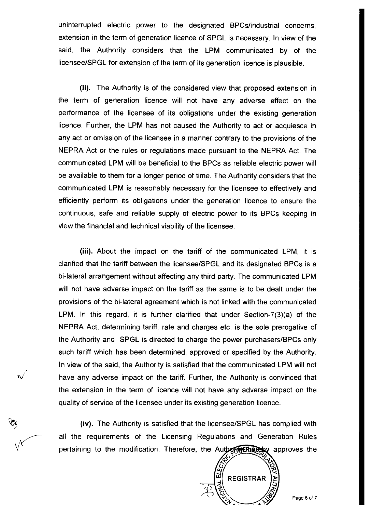uninterrupted electric power to the designated BPCs/industrial concerns, extension in the term of generation licence of SPGL is necessary. In view of the said, the Authority considers that the LPM communicated by of the licensee/SPGL for extension of the term of its generation licence is plausible.

(ii). The Authority is of the considered view that proposed extension in the term of generation licence will not have any adverse effect on the performance of the licensee of its obligations under the existing generation licence. Further, the LPM has not caused the Authority to act or acquiesce in any act or omission of the licensee in a manner contrary to the provisions of the NEPRA Act or the rules or regulations made pursuant to the NEPRA Act. The communicated LPM will be beneficial to the BPCs as reliable electric power will be available to them for a longer period of time. The Authority considers that the communicated LPM is reasonably necessary for the licensee to effectively and efficiently perform its obligations under the generation licence to ensure the continuous, safe and reliable supply of electric power to its BPCs keeping in view the financial and technical viability of the licensee.

(iii). About the impact on the tariff of the communicated LPM, it is clarified that the tariff between the licensee/SPGL and its designated BPCs is a bi-lateral arrangement without affecting any third party. The communicated LPM will not have adverse impact on the tariff as the same is to be dealt under the provisions of the bi-lateral agreement which is not linked with the communicated LPM. In this regard, it is further clarified that under Section-7(3)(a) of the NEPRA Act, determining tariff, rate and charges etc. is the sole prerogative of the Authority and SPGL is directed to charge the power purchasers/BPCs only such tariff which has been determined, approved or specified by the Authority. In view of the said, the Authority is satisfied that the communicated LPM will not have any adverse impact on the tariff. Further, the Authority is convinced that the extension in the term of licence will not have any adverse impact on the quality of service of the licensee under its existing generation licence.

 $\checkmark$ 

(iv). The Authority is satisfied that the licensee/SPGL has complied with all the requirements of the Licensing Regulations and Generation Rules pertaining to the modification. Therefore, the Autbertreasedy approves the

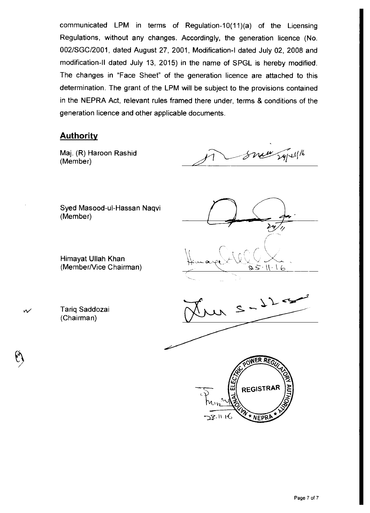communicated LPM in terms of Regulation-10(11)(a) of the Licensing Regulations, without any changes. Accordingly, the generation licence (No. 002/SGC/2001, dated August 27, 2001, Modification-I dated July 02, 2008 and modification-II dated July 13, 2015) in the name of SPGL is hereby modified. The changes in "Face Sheet" of the generation licence are attached to this determination. The grant of the LPM will be subject to the provisions contained in the NEPRA Act, relevant rules framed there under, terms & conditions of the generation licence and other applicable documents.

#### **Authority**

Maj. (R) Haroon Rashid (Member)

Snew Syllist

Syed Masood-ul-Hassan Naqvi (Member)

Himayat Ullah Khan (Member/Vice Chairman)

 $\mathcal{W}$  Tariq Saddozai (Chairman)